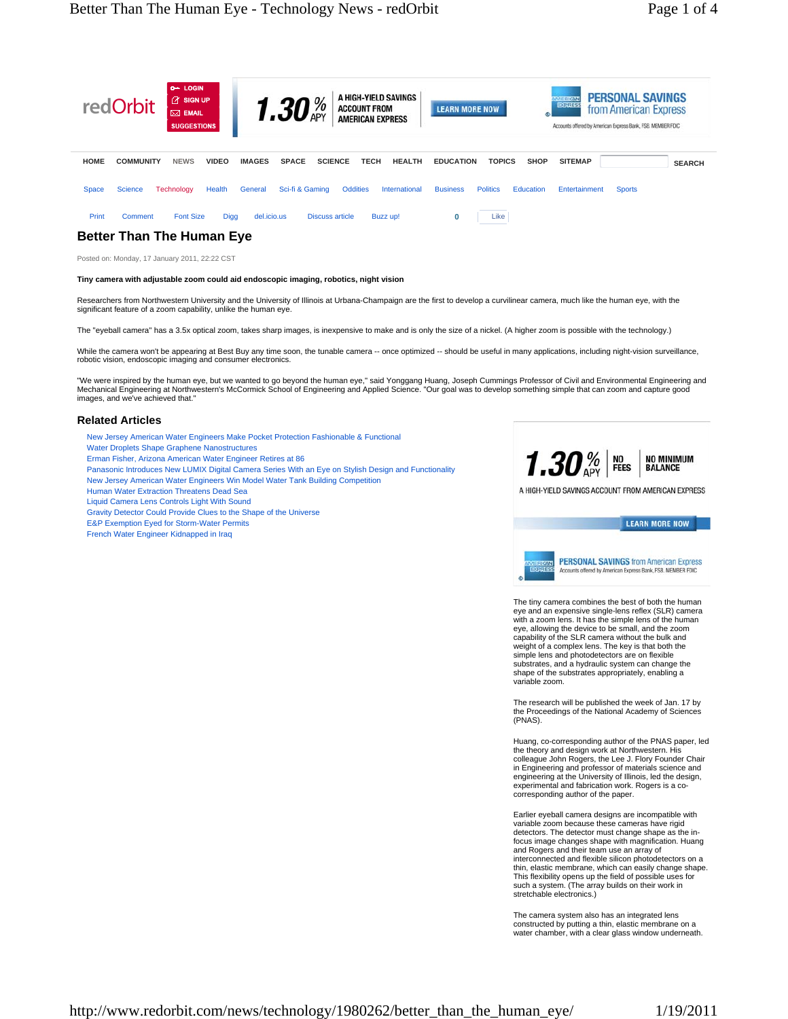

Posted on: Monday, 17 January 2011, 22:22 CST

**Tiny camera with adjustable zoom could aid endoscopic imaging, robotics, night vision**

Researchers from Northwestern University and the University of Illinois at Urbana-Champaign are the first to develop a curvilinear camera, much like the human eye, with the significant feature of a zoom capability, unlike the human eye.

The "eyeball camera" has a 3.5x optical zoom, takes sharp images, is inexpensive to make and is only the size of a nickel. (A higher zoom is possible with the technology.)

While the camera won't be appearing at Best Buy any time soon, the tunable camera -- once optimized -- should be useful in many applications, including night-vision surveillance, robotic vision, endoscopic imaging and consumer electronics.

"We were inspired by the human eye, but we wanted to go beyond the human eye," said Yonggang Huang, Joseph Cummings Professor of Civil and Environmental Engineering and<br>Mechanical Engineering at Northwestern's McCormick Sc images, and we've achieved that.

## **Related Articles**

New Jersey American Water Engineers Make Pocket Protection Fashionable & Functional Water Droplets Shape Graphene Nanostructures **1.30 %** Erman Fisher, Arizona American Water Engineer Retires at 86 NO<br>FEES Panasonic Introduces New LUMIX Digital Camera Series With an Eye on Stylish Design and Functionality New Jersey American Water Engineers Win Model Water Tank Building Competition Human Water Extraction Threatens Dead Sea Liquid Camera Lens Controls Light With Sound Gravity Detector Could Provide Clues to the Shape of the Universe E&P Exemption Eyed for Storm-Water Permits French Water Engineer Kidnapped in Iraq



ed by American Express Bank, FSB. MEMBER FDIC

The tiny camera combines the best of both the human eye and an expensive single-lens reflex (SLR) camera with a zoom lens. It has the simple lens of the human eye, allowing the device to be small, and the zoom capability of the SLR camera without the bulk and weight of a complex lens. The key is that both the simple lens and photodetectors are on flexible substrates, and a hydraulic system can change the shape of the substrates appropriately, enabling a variable zoom.

The research will be published the week of Jan. 17 by the Proceedings of the National Academy of Sciences (PNAS).

Huang, co-corresponding author of the PNAS paper, led the theory and design work at Northwestern. His colleague John Rogers, the Lee J. Flory Founder Chair in Engineering and professor of materials science and engineering at the University of Illinois, led the design, experimental and fabrication work. Rogers is a cocorresponding author of the paper.

Earlier eyeball camera designs are incompatible with variable zoom because these cameras have rigid detectors. The detector must change shape as the infocus image changes shape with magnification. Huang and Rogers and their team use an array of interconnected and flexible silicon photodetectors on a thin, elastic membrane, which can easily change shape. This flexibility opens up the field of possible uses for such a system. (The array builds on their work in stretchable electronics.)

The camera system also has an integrated lens constructed by putting a thin, elastic membrane on a water chamber, with a clear glass window underneath.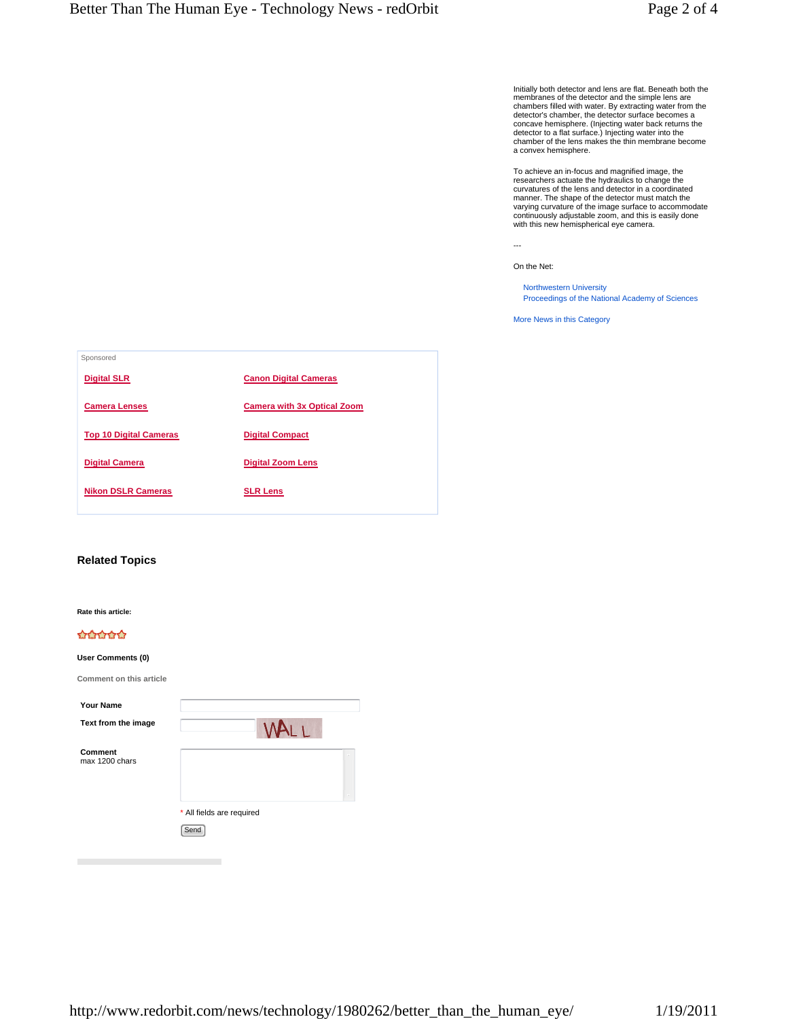Initially both detector and lens are flat. Beneath both the membranes of the detector and the simple lens are chambers filled with water. By extracting water from the detector's chamber, the detector surface becomes a concave hemisphere. (Injecting water back returns the detector to a flat surface.) Injecting water into the chamber of the lens makes the thin membrane become a convex hemisphere.

To achieve an in-focus and magnified image, the researchers actuate the hydraulics to change the curvatures of the lens and detector in a coordinated manner. The shape of the detector must match the varying curvature of the image surface to accommodate continuously adjustable zoom, and this is easily done with this new hemispherical eye camera.

---

On the Net:

Northwestern University Proceedings of the National Academy of Sciences

More News in this Category

| Sponsored                     |                                    |
|-------------------------------|------------------------------------|
| <b>Digital SLR</b>            | <b>Canon Digital Cameras</b>       |
| <b>Camera Lenses</b>          | <b>Camera with 3x Optical Zoom</b> |
| <b>Top 10 Digital Cameras</b> | <b>Digital Compact</b>             |
| <b>Digital Camera</b>         | <b>Digital Zoom Lens</b>           |
| <b>Nikon DSLR Cameras</b>     | <b>SLR Lens</b>                    |
|                               |                                    |

## **Related Topics**

**Rate this article:** 

## **User Comments (0)**



**Your Name**

**Text from the image**

**Comment** max 1200 chars

| ALL<br>١٨ |  |   |
|-----------|--|---|
|           |  | ÷ |
|           |  | п |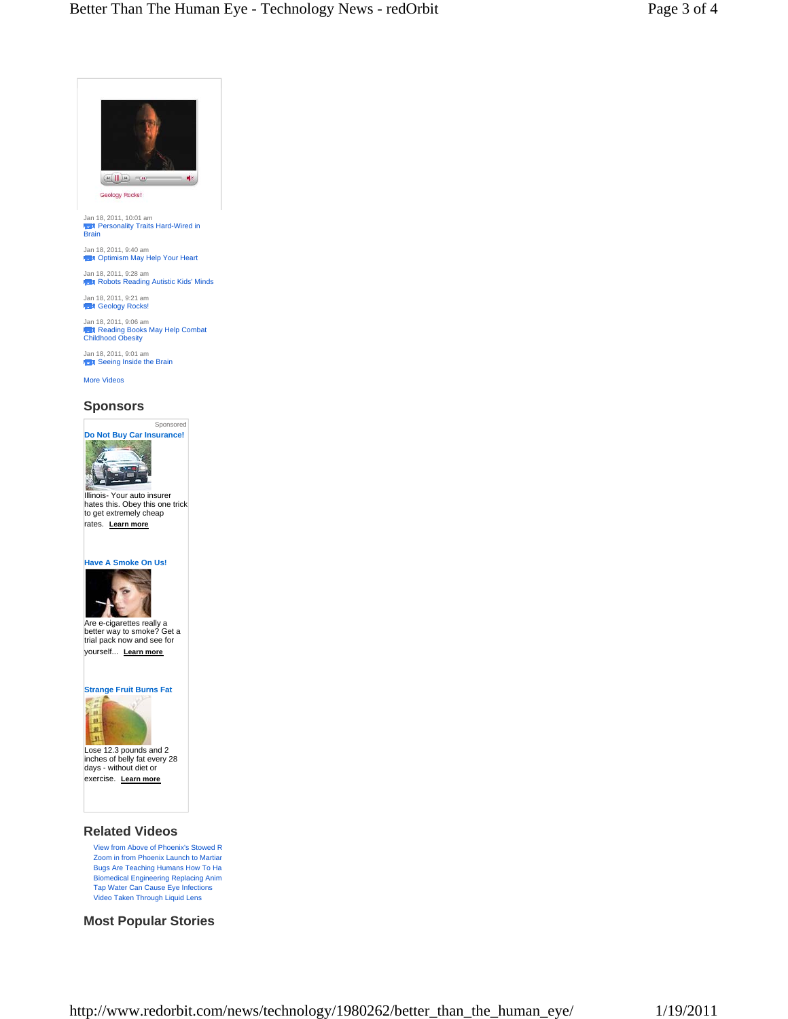

Zoom in from Phoenix Launch to Martian Bugs Are Teaching Humans How To Ha Biomedical Engineering Replacing Anim Tap Water Can Cause Eye Infections Video Taken Through Liquid Lens

**Most Popular Stories**